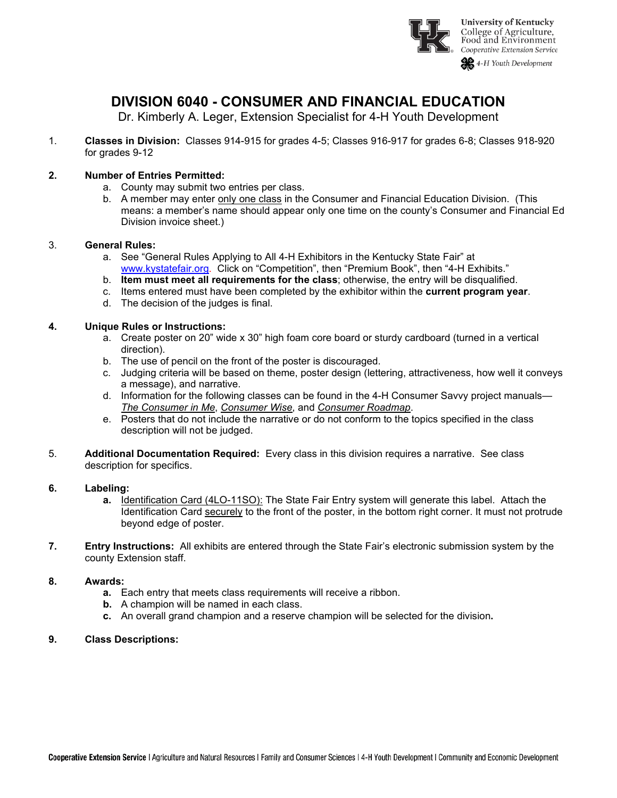

# **DIVISION 6040 - CONSUMER AND FINANCIAL EDUCATION**

Dr. Kimberly A. Leger, Extension Specialist for 4-H Youth Development

1. **Classes in Division:** Classes 914-915 for grades 4-5; Classes 916-917 for grades 6-8; Classes 918-920 for grades 9-12

### **2. Number of Entries Permitted:**

- a. County may submit two entries per class.
- b. A member may enter only one class in the Consumer and Financial Education Division. (This means: a member's name should appear only one time on the county's Consumer and Financial Ed Division invoice sheet.)

#### 3. **General Rules:**

- a. See "General Rules Applying to All 4-H Exhibitors in the Kentucky State Fair" at [www.kystatefair.org.](http://www.kystatefair.org/) Click on "Competition", then "Premium Book", then "4-H Exhibits."
- b. **Item must meet all requirements for the class**; otherwise, the entry will be disqualified.
- c. Items entered must have been completed by the exhibitor within the **current program year**.
- d. The decision of the judges is final.

#### **4. Unique Rules or Instructions:**

- a. Create poster on 20" wide x 30" high foam core board or sturdy cardboard (turned in a vertical direction).
- b. The use of pencil on the front of the poster is discouraged.
- c. Judging criteria will be based on theme, poster design (lettering, attractiveness, how well it conveys a message), and narrative.
- d. Information for the following classes can be found in the 4-H Consumer Savvy project manuals— *The Consumer in Me*, *Consumer Wise*, and *Consumer Roadmap*.
- e. Posters that do not include the narrative or do not conform to the topics specified in the class description will not be judged.
- 5. **Additional Documentation Required:** Every class in this division requires a narrative. See class description for specifics.

#### **6. Labeling:**

- **a.** Identification Card (4LO-11SO): The State Fair Entry system will generate this label.Attach the Identification Card securely to the front of the poster, in the bottom right corner. It must not protrude beyond edge of poster.
- **7. Entry Instructions:** All exhibits are entered through the State Fair's electronic submission system by the county Extension staff.

#### **8. Awards:**

- **a.** Each entry that meets class requirements will receive a ribbon.
- **b.** A champion will be named in each class.
- **c.** An overall grand champion and a reserve champion will be selected for the division**.**

#### **9. Class Descriptions:**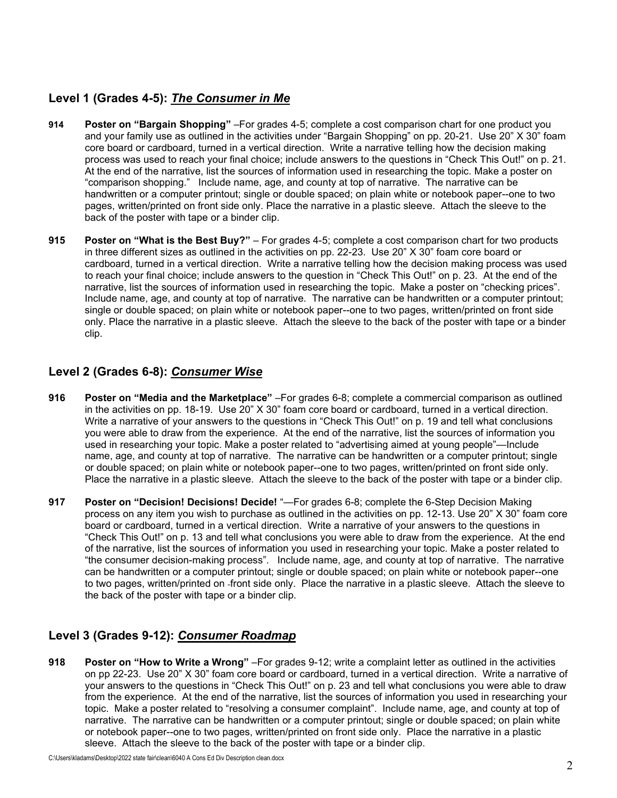### **Level 1 (Grades 4-5):** *The Consumer in Me*

- **914 Poster on "Bargain Shopping"** –For grades 4-5; complete a cost comparison chart for one product you and your family use as outlined in the activities under "Bargain Shopping" on pp. 20-21. Use 20" X 30" foam core board or cardboard, turned in a vertical direction. Write a narrative telling how the decision making process was used to reach your final choice; include answers to the questions in "Check This Out!" on p. 21. At the end of the narrative, list the sources of information used in researching the topic. Make a poster on "comparison shopping." Include name, age, and county at top of narrative. The narrative can be handwritten or a computer printout; single or double spaced; on plain white or notebook paper--one to two pages, written/printed on front side only. Place the narrative in a plastic sleeve. Attach the sleeve to the back of the poster with tape or a binder clip.
- **915 Poster on "What is the Best Buy?"** For grades 4-5; complete a cost comparison chart for two products in three different sizes as outlined in the activities on pp. 22-23. Use 20" X 30" foam core board or cardboard, turned in a vertical direction. Write a narrative telling how the decision making process was used to reach your final choice; include answers to the question in "Check This Out!" on p. 23. At the end of the narrative, list the sources of information used in researching the topic. Make a poster on "checking prices". Include name, age, and county at top of narrative. The narrative can be handwritten or a computer printout; single or double spaced; on plain white or notebook paper--one to two pages, written/printed on front side only. Place the narrative in a plastic sleeve. Attach the sleeve to the back of the poster with tape or a binder clip.

### **Level 2 (Grades 6-8):** *Consumer Wise*

- **916 Poster on "Media and the Marketplace"** –For grades 6-8; complete a commercial comparison as outlined in the activities on pp. 18-19. Use 20" X 30" foam core board or cardboard, turned in a vertical direction. Write a narrative of your answers to the questions in "Check This Out!" on p. 19 and tell what conclusions you were able to draw from the experience. At the end of the narrative, list the sources of information you used in researching your topic. Make a poster related to "advertising aimed at young people"—Include name, age, and county at top of narrative. The narrative can be handwritten or a computer printout; single or double spaced; on plain white or notebook paper--one to two pages, written/printed on front side only. Place the narrative in a plastic sleeve. Attach the sleeve to the back of the poster with tape or a binder clip.
- **917 Poster on "Decision! Decisions! Decide!** "—For grades 6-8; complete the 6-Step Decision Making process on any item you wish to purchase as outlined in the activities on pp. 12-13. Use 20" X 30" foam core board or cardboard, turned in a vertical direction. Write a narrative of your answers to the questions in "Check This Out!" on p. 13 and tell what conclusions you were able to draw from the experience. At the end of the narrative, list the sources of information you used in researching your topic. Make a poster related to "the consumer decision-making process". Include name, age, and county at top of narrative. The narrative can be handwritten or a computer printout; single or double spaced; on plain white or notebook paper--one to two pages, written/printed on front side only. Place the narrative in a plastic sleeve. Attach the sleeve to the back of the poster with tape or a binder clip.

## **Level 3 (Grades 9-12):** *Consumer Roadmap*

**918 Poster on "How to Write a Wrong"** –For grades 9-12; write a complaint letter as outlined in the activities on pp 22-23. Use 20" X 30" foam core board or cardboard, turned in a vertical direction. Write a narrative of your answers to the questions in "Check This Out!" on p. 23 and tell what conclusions you were able to draw from the experience. At the end of the narrative, list the sources of information you used in researching your topic. Make a poster related to "resolving a consumer complaint". Include name, age, and county at top of narrative. The narrative can be handwritten or a computer printout; single or double spaced; on plain white or notebook paper--one to two pages, written/printed on front side only. Place the narrative in a plastic sleeve. Attach the sleeve to the back of the poster with tape or a binder clip.